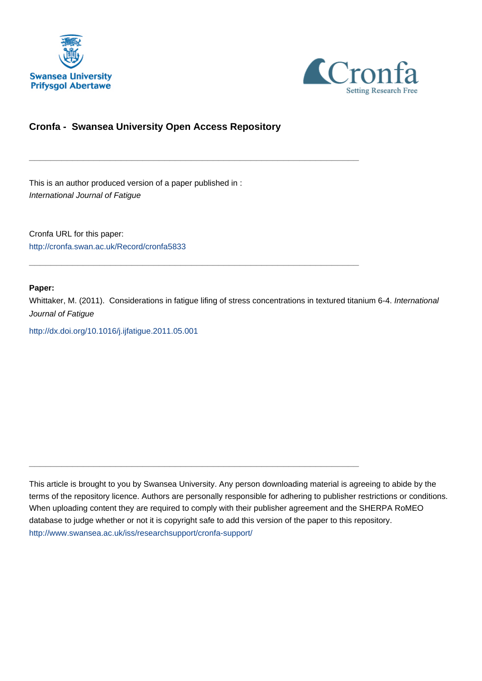



# **Cronfa - Swansea University Open Access Repository**

\_\_\_\_\_\_\_\_\_\_\_\_\_\_\_\_\_\_\_\_\_\_\_\_\_\_\_\_\_\_\_\_\_\_\_\_\_\_\_\_\_\_\_\_\_\_\_\_\_\_\_\_\_\_\_\_\_\_\_\_\_

 $\_$  , and the set of the set of the set of the set of the set of the set of the set of the set of the set of the set of the set of the set of the set of the set of the set of the set of the set of the set of the set of th

 $\_$  , and the set of the set of the set of the set of the set of the set of the set of the set of the set of the set of the set of the set of the set of the set of the set of the set of the set of the set of the set of th

This is an author produced version of a paper published in : International Journal of Fatigue

Cronfa URL for this paper: <http://cronfa.swan.ac.uk/Record/cronfa5833>

#### **Paper:**

Whittaker, M. (2011). Considerations in fatigue lifing of stress concentrations in textured titanium 6-4. International Journal of Fatigue

<http://dx.doi.org/10.1016/j.ijfatigue.2011.05.001>

This article is brought to you by Swansea University. Any person downloading material is agreeing to abide by the terms of the repository licence. Authors are personally responsible for adhering to publisher restrictions or conditions. When uploading content they are required to comply with their publisher agreement and the SHERPA RoMEO database to judge whether or not it is copyright safe to add this version of the paper to this repository. [http://www.swansea.ac.uk/iss/researchsupport/cronfa-support/](http://www.swansea.ac.uk/iss/researchsupport/cronfa-support/ )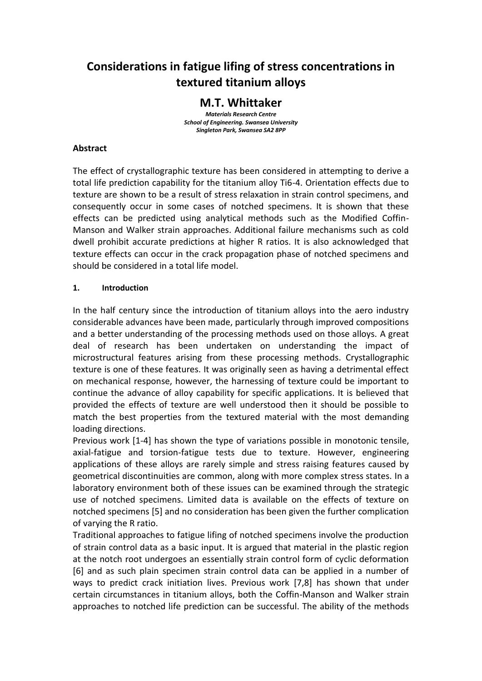# **Considerations in fatigue lifing of stress concentrations in textured titanium alloys**

### **M.T. Whittaker**

*Materials Research Centre School of Engineering. Swansea University Singleton Park, Swansea SA2 8PP*

### **Abstract**

The effect of crystallographic texture has been considered in attempting to derive a total life prediction capability for the titanium alloy Ti6-4. Orientation effects due to texture are shown to be a result of stress relaxation in strain control specimens, and consequently occur in some cases of notched specimens. It is shown that these effects can be predicted using analytical methods such as the Modified Coffin-Manson and Walker strain approaches. Additional failure mechanisms such as cold dwell prohibit accurate predictions at higher R ratios. It is also acknowledged that texture effects can occur in the crack propagation phase of notched specimens and should be considered in a total life model.

### **1. Introduction**

In the half century since the introduction of titanium alloys into the aero industry considerable advances have been made, particularly through improved compositions and a better understanding of the processing methods used on those alloys. A great deal of research has been undertaken on understanding the impact of microstructural features arising from these processing methods. Crystallographic texture is one of these features. It was originally seen as having a detrimental effect on mechanical response, however, the harnessing of texture could be important to continue the advance of alloy capability for specific applications. It is believed that provided the effects of texture are well understood then it should be possible to match the best properties from the textured material with the most demanding loading directions.

Previous work [1-4] has shown the type of variations possible in monotonic tensile, axial-fatigue and torsion-fatigue tests due to texture. However, engineering applications of these alloys are rarely simple and stress raising features caused by geometrical discontinuities are common, along with more complex stress states. In a laboratory environment both of these issues can be examined through the strategic use of notched specimens. Limited data is available on the effects of texture on notched specimens [5] and no consideration has been given the further complication of varying the R ratio.

Traditional approaches to fatigue lifing of notched specimens involve the production of strain control data as a basic input. It is argued that material in the plastic region at the notch root undergoes an essentially strain control form of cyclic deformation [6] and as such plain specimen strain control data can be applied in a number of ways to predict crack initiation lives. Previous work [7,8] has shown that under certain circumstances in titanium alloys, both the Coffin-Manson and Walker strain approaches to notched life prediction can be successful. The ability of the methods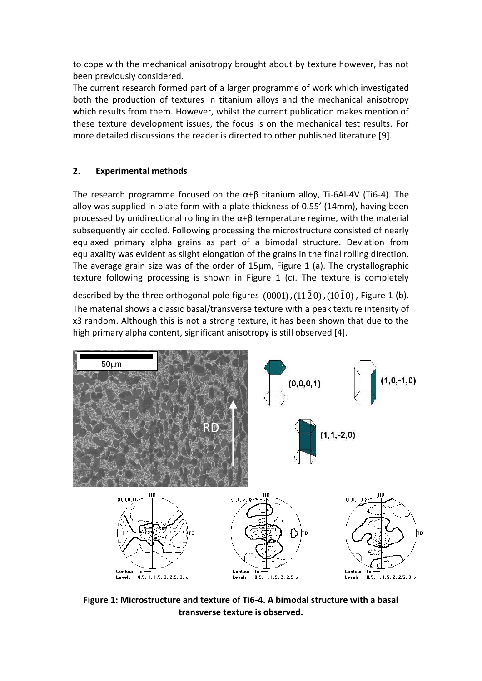to cope with the mechanical anisotropy brought about by texture however, has not been previously considered.

The current research formed part of a larger programme of work which investigated both the production of textures in titanium alloys and the mechanical anisotropy which results from them. However, whilst the current publication makes mention of these texture development issues, the focus is on the mechanical test results. For more detailed discussions the reader is directed to other published literature [9].

# **2. Experimental methods**

The research programme focused on the  $\alpha+\beta$  titanium alloy, Ti-6Al-4V (Ti6-4). The alloy was supplied in plate form with a plate thickness of 0.55' (14mm), having been processed by unidirectional rolling in the  $\alpha + \beta$  temperature regime, with the material subsequently air cooled. Following processing the microstructure consisted of nearly equiaxed primary alpha grains as part of a bimodal structure. Deviation from equiaxality was evident as slight elongation of the grains in the final rolling direction. The average grain size was of the order of  $15\mu m$ , Figure 1 (a). The crystallographic texture following processing is shown in Figure 1 (c). The texture is completely

described by the three orthogonal pole figures  $(0001)$ ,  $(1120)$ ,  $(1010)$ , Figure 1 (b). The material shows a classic basal/transverse texture with a peak texture intensity of x3 random. Although this is not a strong texture, it has been shown that due to the high primary alpha content, significant anisotropy is still observed [4].



**Figure 1: Microstructure and texture of Ti6-4. A bimodal structure with a basal transverse texture is observed.**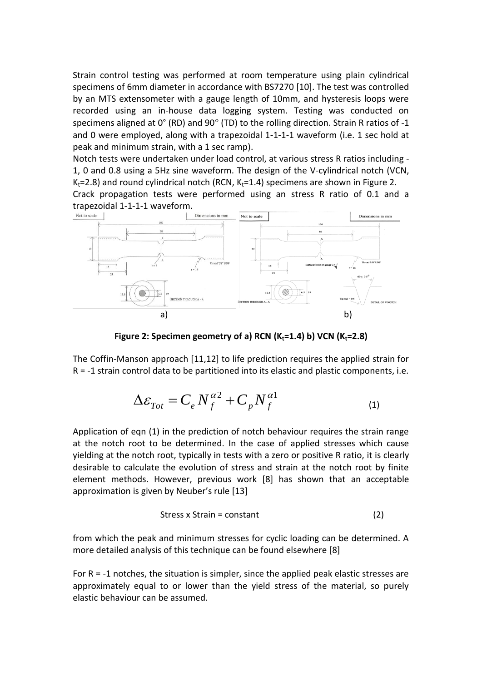Strain control testing was performed at room temperature using plain cylindrical specimens of 6mm diameter in accordance with BS7270 [10]. The test was controlled by an MTS extensometer with a gauge length of 10mm, and hysteresis loops were recorded using an in-house data logging system. Testing was conducted on specimens aligned at  $0^{\circ}$  (RD) and  $90^{\circ}$  (TD) to the rolling direction. Strain R ratios of -1 and 0 were employed, along with a trapezoidal 1-1-1-1 waveform (i.e. 1 sec hold at peak and minimum strain, with a 1 sec ramp).

Notch tests were undertaken under load control, at various stress R ratios including - 1, 0 and 0.8 using a 5Hz sine waveform. The design of the V-cylindrical notch (VCN,  $K_t$ =2.8) and round cylindrical notch (RCN,  $K_t$ =1.4) specimens are shown in Figure 2. Crack propagation tests were performed using an stress R ratio of 0.1 and a



**Figure 2: Specimen geometry of a) RCN**  $(K_t=1.4)$  **b) VCN**  $(K_t=2.8)$ 

The Coffin-Manson approach [11,12] to life prediction requires the applied strain for R = -1 strain control data to be partitioned into its elastic and plastic components, i.e.

$$
\Delta \varepsilon_{Tot} = C_e N_f^{\alpha 2} + C_p N_f^{\alpha 1}
$$
 (1)

Application of eqn (1) in the prediction of notch behaviour requires the strain range at the notch root to be determined. In the case of applied stresses which cause yielding at the notch root, typically in tests with a zero or positive R ratio, it is clearly desirable to calculate the evolution of stress and strain at the notch root by finite element methods. However, previous work [8] has shown that an acceptable approximation is given by Neuber's rule [13]

$$
Stress x Strain = constant
$$
 (2)

from which the peak and minimum stresses for cyclic loading can be determined. A more detailed analysis of this technique can be found elsewhere [8]

For  $R = -1$  notches, the situation is simpler, since the applied peak elastic stresses are approximately equal to or lower than the yield stress of the material, so purely elastic behaviour can be assumed.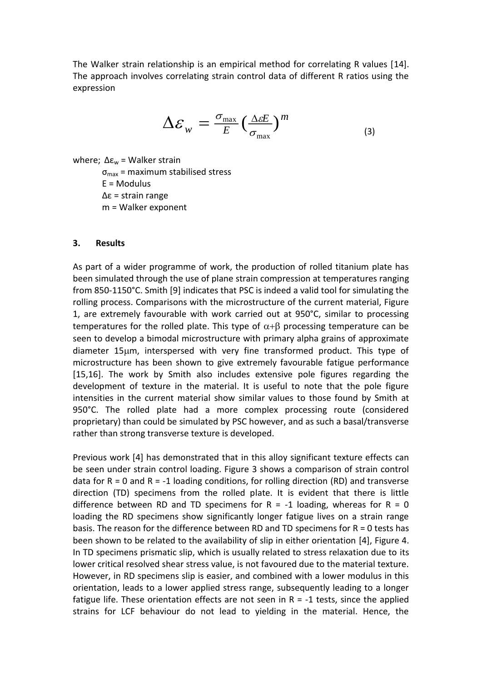The Walker strain relationship is an empirical method for correlating R values [14]. The approach involves correlating strain control data of different R ratios using the expression

$$
\Delta \varepsilon_{w} = \frac{\sigma_{\text{max}}}{E} \left( \frac{\Delta \varepsilon E}{\sigma_{\text{max}}} \right)^{m} \tag{3}
$$

where;  $Δε<sub>w</sub> = Walker strain$ 

 $\sigma_{\text{max}}$  = maximum stabilised stress  $E = Modulus$ Δε = strain range m = Walker exponent

### **3. Results**

As part of a wider programme of work, the production of rolled titanium plate has been simulated through the use of plane strain compression at temperatures ranging from 850-1150°C. Smith [9] indicates that PSC is indeed a valid tool for simulating the rolling process. Comparisons with the microstructure of the current material, Figure 1, are extremely favourable with work carried out at 950°C, similar to processing temperatures for the rolled plate. This type of  $\alpha+\beta$  processing temperature can be seen to develop a bimodal microstructure with primary alpha grains of approximate diameter 15µm, interspersed with very fine transformed product. This type of microstructure has been shown to give extremely favourable fatigue performance [15,16]. The work by Smith also includes extensive pole figures regarding the development of texture in the material. It is useful to note that the pole figure intensities in the current material show similar values to those found by Smith at 950°C. The rolled plate had a more complex processing route (considered proprietary) than could be simulated by PSC however, and as such a basal/transverse rather than strong transverse texture is developed.

Previous work [4] has demonstrated that in this alloy significant texture effects can be seen under strain control loading. Figure 3 shows a comparison of strain control data for  $R = 0$  and  $R = -1$  loading conditions, for rolling direction (RD) and transverse direction (TD) specimens from the rolled plate. It is evident that there is little difference between RD and TD specimens for R = -1 loading, whereas for R = 0 loading the RD specimens show significantly longer fatigue lives on a strain range basis. The reason for the difference between RD and TD specimens for R = 0 tests has been shown to be related to the availability of slip in either orientation [4], Figure 4. In TD specimens prismatic slip, which is usually related to stress relaxation due to its lower critical resolved shear stress value, is not favoured due to the material texture. However, in RD specimens slip is easier, and combined with a lower modulus in this orientation, leads to a lower applied stress range, subsequently leading to a longer fatigue life. These orientation effects are not seen in  $R = -1$  tests, since the applied strains for LCF behaviour do not lead to yielding in the material. Hence, the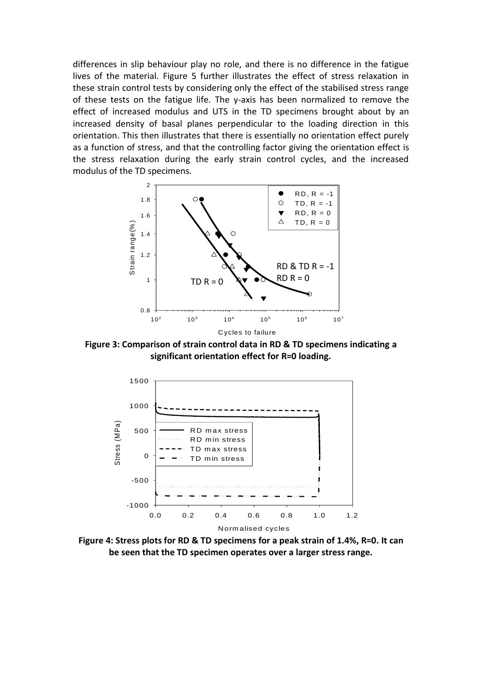differences in slip behaviour play no role, and there is no difference in the fatigue lives of the material. Figure 5 further illustrates the effect of stress relaxation in these strain control tests by considering only the effect of the stabilised stress range of these tests on the fatigue life. The y-axis has been normalized to remove the effect of increased modulus and UTS in the TD specimens brought about by an increased density of basal planes perpendicular to the loading direction in this orientation. This then illustrates that there is essentially no orientation effect purely as a function of stress, and that the controlling factor giving the orientation effect is the stress relaxation during the early strain control cycles, and the increased modulus of the TD specimens.



**Figure 3: Comparison of strain control data in RD & TD specimens indicating a significant orientation effect for R=0 loading.**



**Figure 4: Stress plots for RD & TD specimens for a peak strain of 1.4%, R=0. It can be seen that the TD specimen operates over a larger stress range.**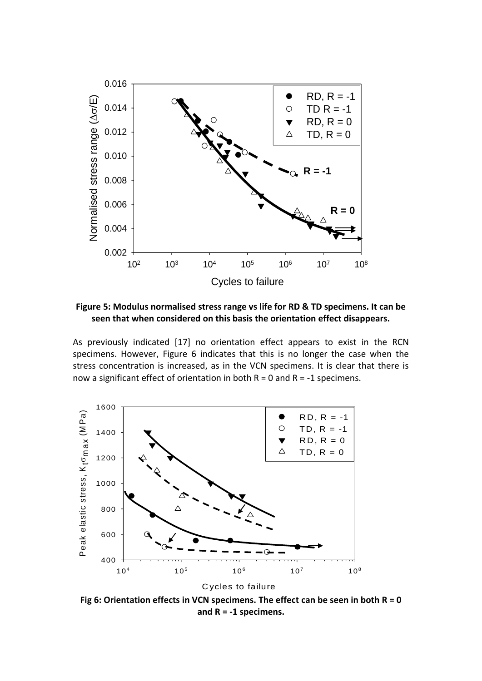

**Figure 5: Modulus normalised stress range vs life for RD & TD specimens. It can be seen that when considered on this basis the orientation effect disappears.**

As previously indicated [17] no orientation effect appears to exist in the RCN specimens. However, Figure 6 indicates that this is no longer the case when the stress concentration is increased, as in the VCN specimens. It is clear that there is now a significant effect of orientation in both  $R = 0$  and  $R = -1$  specimens.



**Fig 6: Orientation effects in VCN specimens. The effect can be seen in both R = 0 and R = -1 specimens.**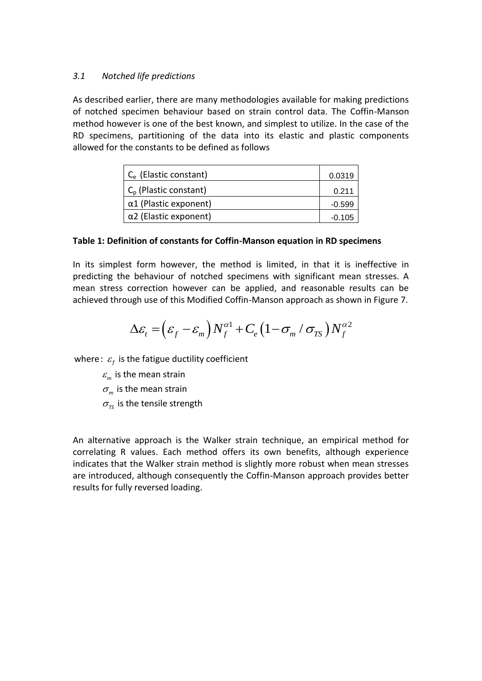# *3.1 Notched life predictions*

As described earlier, there are many methodologies available for making predictions of notched specimen behaviour based on strain control data. The Coffin-Manson method however is one of the best known, and simplest to utilize. In the case of the RD specimens, partitioning of the data into its elastic and plastic components allowed for the constants to be defined as follows

| $C_e$ (Elastic constant)      | 0.0319   |
|-------------------------------|----------|
| $C_p$ (Plastic constant)      | 0.211    |
| $\alpha$ 1 (Plastic exponent) | $-0.599$ |
| $\alpha$ 2 (Elastic exponent) | $-0.105$ |

# **Table 1: Definition of constants for Coffin-Manson equation in RD specimens**

In its simplest form however, the method is limited, in that it is ineffective in predicting the behaviour of notched specimens with significant mean stresses. A mean stress correction however can be applied, and reasonable results can be

achieved through use of this Modified Coffin-Manson approach as shown in Figure 7. 
$$
\Delta \mathcal{E}_t = \left( \mathcal{E}_f - \mathcal{E}_m \right) N_f^{\alpha 1} + C_e \left( 1 - \sigma_m / \sigma_{TS} \right) N_f^{\alpha 2}
$$

where $: \varepsilon_{_f}$  is the fatigue ductility coefficient

- $\varepsilon_m^{}$  is the mean strain
- $\sigma_m^{}$  is the mean strain
- $\sigma_{\rm \scriptscriptstyle TS}$  is the tensile strength

An alternative approach is the Walker strain technique, an empirical method for correlating R values. Each method offers its own benefits, although experience indicates that the Walker strain method is slightly more robust when mean stresses are introduced, although consequently the Coffin-Manson approach provides better results for fully reversed loading.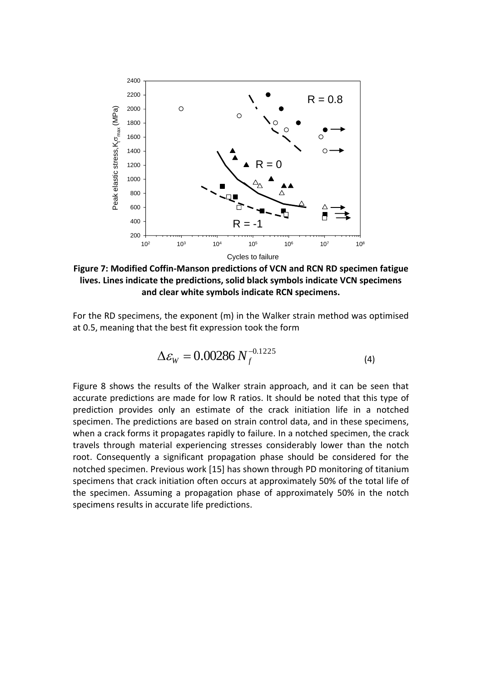

**Figure 7: Modified Coffin-Manson predictions of VCN and RCN RD specimen fatigue lives. Lines indicate the predictions, solid black symbols indicate VCN specimens and clear white symbols indicate RCN specimens.**

For the RD specimens, the exponent (m) in the Walker strain method was optimised at 0.5, meaning that the best fit expression took the form

$$
\Delta \varepsilon_{\rm w} = 0.00286 \, N_f^{-0.1225} \tag{4}
$$

Figure 8 shows the results of the Walker strain approach, and it can be seen that accurate predictions are made for low R ratios. It should be noted that this type of prediction provides only an estimate of the crack initiation life in a notched specimen. The predictions are based on strain control data, and in these specimens, when a crack forms it propagates rapidly to failure. In a notched specimen, the crack travels through material experiencing stresses considerably lower than the notch root. Consequently a significant propagation phase should be considered for the notched specimen. Previous work [15] has shown through PD monitoring of titanium specimens that crack initiation often occurs at approximately 50% of the total life of the specimen. Assuming a propagation phase of approximately 50% in the notch specimens results in accurate life predictions.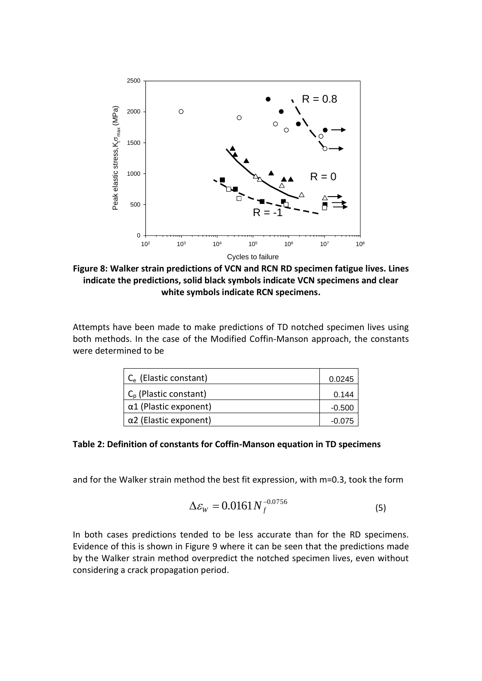

**Figure 8: Walker strain predictions of VCN and RCN RD specimen fatigue lives. Lines indicate the predictions, solid black symbols indicate VCN specimens and clear white symbols indicate RCN specimens.**

Attempts have been made to make predictions of TD notched specimen lives using both methods. In the case of the Modified Coffin-Manson approach, the constants were determined to be

| $C_e$ (Elastic constant)      | 0.0245   |
|-------------------------------|----------|
| $C_{p}$ (Plastic constant)    | 0.144    |
| $\alpha$ 1 (Plastic exponent) | $-0.500$ |
| $\alpha$ 2 (Elastic exponent) | $-0.075$ |

### **Table 2: Definition of constants for Coffin-Manson equation in TD specimens**

and for the Walker strain method the best fit expression, with m=0.3, took the form

$$
\Delta \varepsilon_{\rm w} = 0.0161 N_f^{-0.0756}
$$
 (5)

In both cases predictions tended to be less accurate than for the RD specimens. Evidence of this is shown in Figure 9 where it can be seen that the predictions made by the Walker strain method overpredict the notched specimen lives, even without considering a crack propagation period.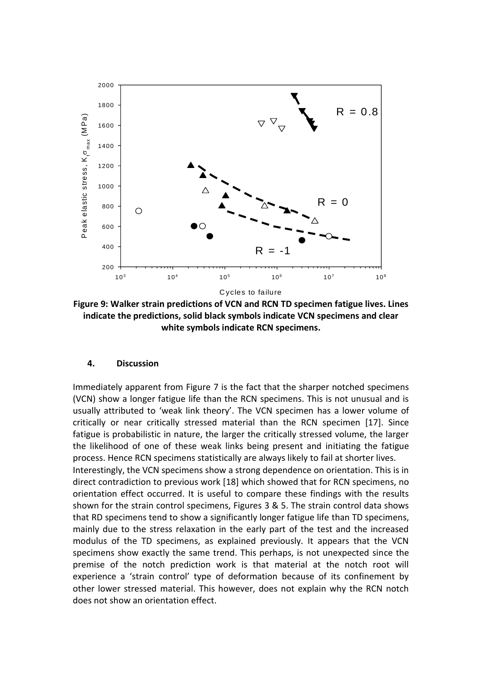

**Figure 9: Walker strain predictions of VCN and RCN TD specimen fatigue lives. Lines indicate the predictions, solid black symbols indicate VCN specimens and clear white symbols indicate RCN specimens.**

### **4. Discussion**

Immediately apparent from Figure 7 is the fact that the sharper notched specimens (VCN) show a longer fatigue life than the RCN specimens. This is not unusual and is usually attributed to 'weak link theory'. The VCN specimen has a lower volume of critically or near critically stressed material than the RCN specimen [17]. Since fatigue is probabilistic in nature, the larger the critically stressed volume, the larger the likelihood of one of these weak links being present and initiating the fatigue process. Hence RCN specimens statistically are always likely to fail at shorter lives.

Interestingly, the VCN specimens show a strong dependence on orientation. This is in direct contradiction to previous work [18] which showed that for RCN specimens, no orientation effect occurred. It is useful to compare these findings with the results shown for the strain control specimens, Figures 3 & 5. The strain control data shows that RD specimens tend to show a significantly longer fatigue life than TD specimens, mainly due to the stress relaxation in the early part of the test and the increased modulus of the TD specimens, as explained previously. It appears that the VCN specimens show exactly the same trend. This perhaps, is not unexpected since the premise of the notch prediction work is that material at the notch root will experience a 'strain control' type of deformation because of its confinement by other lower stressed material. This however, does not explain why the RCN notch does not show an orientation effect.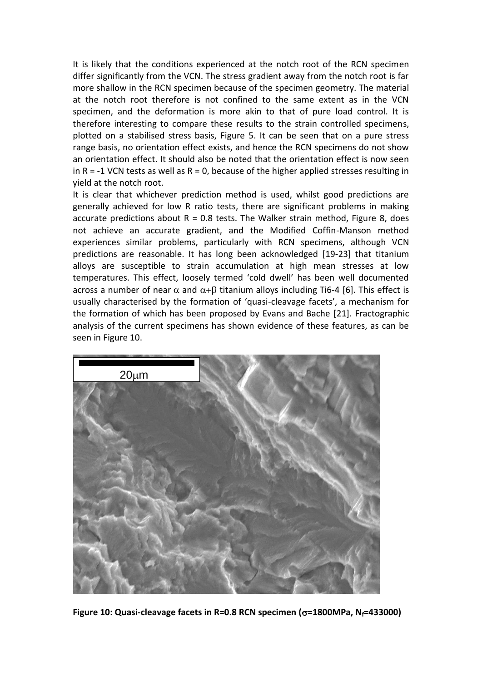It is likely that the conditions experienced at the notch root of the RCN specimen differ significantly from the VCN. The stress gradient away from the notch root is far more shallow in the RCN specimen because of the specimen geometry. The material at the notch root therefore is not confined to the same extent as in the VCN specimen, and the deformation is more akin to that of pure load control. It is therefore interesting to compare these results to the strain controlled specimens, plotted on a stabilised stress basis, Figure 5. It can be seen that on a pure stress range basis, no orientation effect exists, and hence the RCN specimens do not show an orientation effect. It should also be noted that the orientation effect is now seen in  $R = -1$  VCN tests as well as  $R = 0$ , because of the higher applied stresses resulting in yield at the notch root.

It is clear that whichever prediction method is used, whilst good predictions are generally achieved for low R ratio tests, there are significant problems in making accurate predictions about  $R = 0.8$  tests. The Walker strain method, Figure 8, does not achieve an accurate gradient, and the Modified Coffin-Manson method experiences similar problems, particularly with RCN specimens, although VCN predictions are reasonable. It has long been acknowledged [19-23] that titanium alloys are susceptible to strain accumulation at high mean stresses at low temperatures. This effect, loosely termed 'cold dwell' has been well documented across a number of near  $\alpha$  and  $\alpha + \beta$  titanium alloys including Ti6-4 [6]. This effect is usually characterised by the formation of 'quasi-cleavage facets', a mechanism for the formation of which has been proposed by Evans and Bache [21]. Fractographic analysis of the current specimens has shown evidence of these features, as can be seen in Figure 10.



**Figure 10: Quasi-cleavage facets in R=0.8 RCN specimen (=1800MPa, Nf=433000)**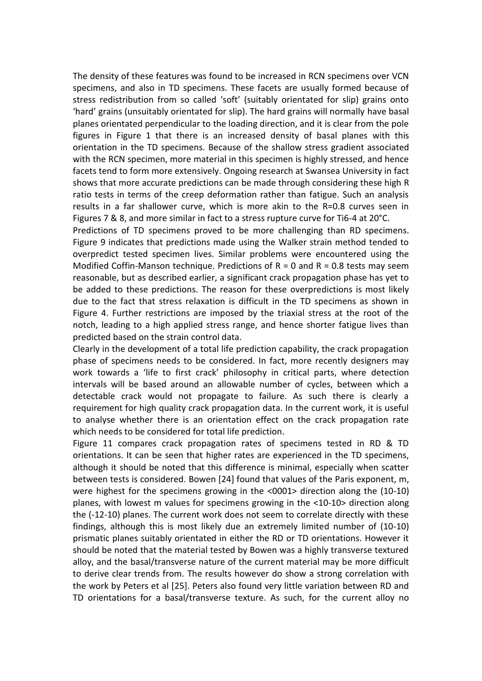The density of these features was found to be increased in RCN specimens over VCN specimens, and also in TD specimens. These facets are usually formed because of stress redistribution from so called 'soft' (suitably orientated for slip) grains onto 'hard' grains (unsuitably orientated for slip). The hard grains will normally have basal planes orientated perpendicular to the loading direction, and it is clear from the pole figures in Figure 1 that there is an increased density of basal planes with this orientation in the TD specimens. Because of the shallow stress gradient associated with the RCN specimen, more material in this specimen is highly stressed, and hence facets tend to form more extensively. Ongoing research at Swansea University in fact shows that more accurate predictions can be made through considering these high R ratio tests in terms of the creep deformation rather than fatigue. Such an analysis results in a far shallower curve, which is more akin to the R=0.8 curves seen in Figures 7 & 8, and more similar in fact to a stress rupture curve for Ti6-4 at 20°C.

Predictions of TD specimens proved to be more challenging than RD specimens. Figure 9 indicates that predictions made using the Walker strain method tended to overpredict tested specimen lives. Similar problems were encountered using the Modified Coffin-Manson technique. Predictions of  $R = 0$  and  $R = 0.8$  tests may seem reasonable, but as described earlier, a significant crack propagation phase has yet to be added to these predictions. The reason for these overpredictions is most likely due to the fact that stress relaxation is difficult in the TD specimens as shown in Figure 4. Further restrictions are imposed by the triaxial stress at the root of the notch, leading to a high applied stress range, and hence shorter fatigue lives than predicted based on the strain control data.

Clearly in the development of a total life prediction capability, the crack propagation phase of specimens needs to be considered. In fact, more recently designers may work towards a 'life to first crack' philosophy in critical parts, where detection intervals will be based around an allowable number of cycles, between which a detectable crack would not propagate to failure. As such there is clearly a requirement for high quality crack propagation data. In the current work, it is useful to analyse whether there is an orientation effect on the crack propagation rate which needs to be considered for total life prediction.

Figure 11 compares crack propagation rates of specimens tested in RD & TD orientations. It can be seen that higher rates are experienced in the TD specimens, although it should be noted that this difference is minimal, especially when scatter between tests is considered. Bowen [24] found that values of the Paris exponent, m, were highest for the specimens growing in the <0001> direction along the (10-10) planes, with lowest m values for specimens growing in the <10-10> direction along the (-12-10) planes. The current work does not seem to correlate directly with these findings, although this is most likely due an extremely limited number of (10-10) prismatic planes suitably orientated in either the RD or TD orientations. However it should be noted that the material tested by Bowen was a highly transverse textured alloy, and the basal/transverse nature of the current material may be more difficult to derive clear trends from. The results however do show a strong correlation with the work by Peters et al [25]. Peters also found very little variation between RD and TD orientations for a basal/transverse texture. As such, for the current alloy no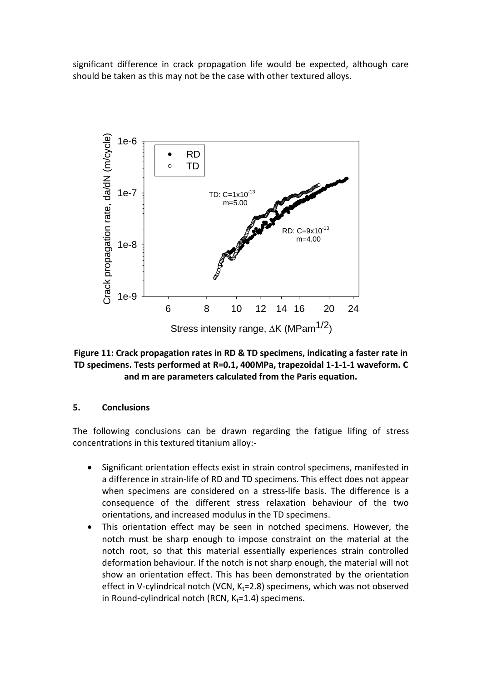significant difference in crack propagation life would be expected, although care should be taken as this may not be the case with other textured alloys.



**Figure 11: Crack propagation rates in RD & TD specimens, indicating a faster rate in TD specimens. Tests performed at R=0.1, 400MPa, trapezoidal 1-1-1-1 waveform. C and m are parameters calculated from the Paris equation.**

### **5. Conclusions**

The following conclusions can be drawn regarding the fatigue lifing of stress concentrations in this textured titanium alloy:-

- Significant orientation effects exist in strain control specimens, manifested in a difference in strain-life of RD and TD specimens. This effect does not appear when specimens are considered on a stress-life basis. The difference is a consequence of the different stress relaxation behaviour of the two orientations, and increased modulus in the TD specimens.
- This orientation effect may be seen in notched specimens. However, the notch must be sharp enough to impose constraint on the material at the notch root, so that this material essentially experiences strain controlled deformation behaviour. If the notch is not sharp enough, the material will not show an orientation effect. This has been demonstrated by the orientation effect in V-cylindrical notch (VCN,  $K_t$ =2.8) specimens, which was not observed in Round-cylindrical notch (RCN,  $K_t$ =1.4) specimens.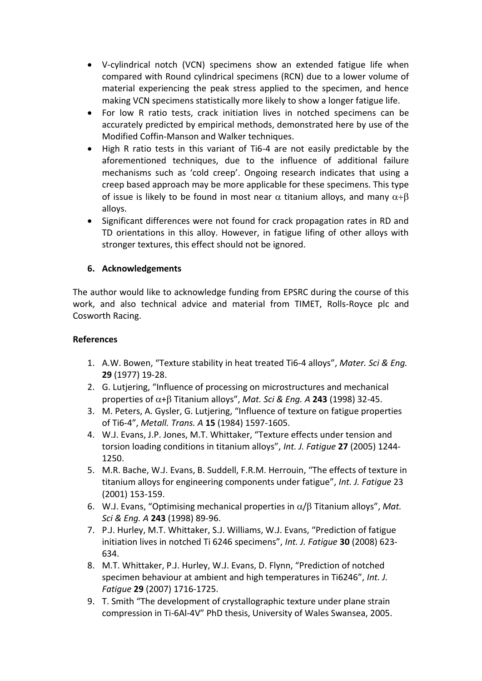- V-cylindrical notch (VCN) specimens show an extended fatigue life when compared with Round cylindrical specimens (RCN) due to a lower volume of material experiencing the peak stress applied to the specimen, and hence making VCN specimens statistically more likely to show a longer fatigue life.
- For low R ratio tests, crack initiation lives in notched specimens can be accurately predicted by empirical methods, demonstrated here by use of the Modified Coffin-Manson and Walker techniques.
- High R ratio tests in this variant of Ti6-4 are not easily predictable by the aforementioned techniques, due to the influence of additional failure mechanisms such as 'cold creep'. Ongoing research indicates that using a creep based approach may be more applicable for these specimens. This type of issue is likely to be found in most near  $\alpha$  titanium alloys, and many  $\alpha+\beta$ alloys.
- Significant differences were not found for crack propagation rates in RD and TD orientations in this alloy. However, in fatigue lifing of other alloys with stronger textures, this effect should not be ignored.

# **6. Acknowledgements**

The author would like to acknowledge funding from EPSRC during the course of this work, and also technical advice and material from TIMET, Rolls-Royce plc and Cosworth Racing.

# **References**

- 1. A.W. Bowen, "Texture stability in heat treated Ti6-4 alloys", *Mater. Sci & Eng.* **29** (1977) 19-28.
- 2. G. Lutjering, "Influence of processing on microstructures and mechanical properties of  $\alpha$ + $\beta$  Titanium alloys", *Mat. Sci & Eng. A* **243** (1998) 32-45.
- 3. M. Peters, A. Gysler, G. Lutjering, "Influence of texture on fatigue properties of Ti6-4", *Metall. Trans. A* **15** (1984) 1597-1605.
- 4. W.J. Evans, J.P. Jones, M.T. Whittaker, "Texture effects under tension and torsion loading conditions in titanium alloys", *Int. J. Fatigue* **27** (2005) 1244- 1250.
- 5. M.R. Bache, W.J. Evans, B. Suddell, F.R.M. Herrouin, "The effects of texture in titanium alloys for engineering components under fatigue", *Int. J. Fatigue* 23 (2001) 153-159.
- 6. W.J. Evans, "Optimising mechanical properties in  $\alpha/\beta$  Titanium alloys", *Mat. Sci & Eng. A* **243** (1998) 89-96.
- 7. P.J. Hurley, M.T. Whittaker, S.J. Williams, W.J. Evans, "Prediction of fatigue initiation lives in notched Ti 6246 specimens", *Int. J. Fatigue* **30** (2008) 623- 634.
- 8. M.T. Whittaker, P.J. Hurley, W.J. Evans, D. Flynn, "Prediction of notched specimen behaviour at ambient and high temperatures in Ti6246", *Int. J. Fatigue* **29** (2007) 1716-1725.
- 9. T. Smith "The development of crystallographic texture under plane strain compression in Ti-6Al-4V" PhD thesis, University of Wales Swansea, 2005.